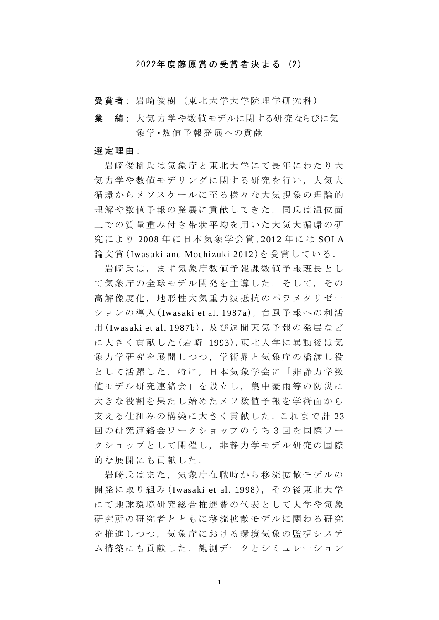## 2022年度藤原賞 の 受 賞 者 決 ま る (2)

受賞者: 岩崎俊樹 (東北大学大学院理学研究科)

業 績: 大気力学や数値モデルに関する研究ならびに気 象学・数値予報発展への貢献

## 選 定 理 由:

岩崎俊樹氏は気象庁と東北大学にて長年にわたり大 気力学や数値モデリングに関する研究を行い、大気大 循環からメソスケールに至る様々な大気現象の理論的 理解や数値予報の発展に貢献してきた.同氏は温位面 上での質量重み付き帯状平均を用いた大気大循環の研 究により 2008年に日本気象学会賞, 2012年には SOLA 論文賞 (Iwasaki and Mochizuki 2012)を受賞している .

岩崎氏は,まず気象庁数値予報課数値予報班長とし て気象庁の全球モデル開発を主導した.そして,その 高解像度化,地形性大気重力波抵抗のパラメタ リゼー ションの導入 (Iwasaki et al. 1987a), 台風予報への利活 用 (Iwasaki et al. 1987b), 及 び 週 間 天 気 予 報 の 発 展 な ど に大きく貢献した (岩 崎 1993).東 北 大 学 に 異 動 後 は 気 象力学研究を展開しつつ,学術界と気象庁の橋渡し役 として活躍した. 特に、日本気象学会に「非静力学数 値モデル研究連絡会」を設立し,集中豪雨等の防災に 大きな役割を果たし始めたメソ数値予報を学術面から 支える仕組みの構築に大きく貢献した.これまで計 23 回の研究連絡会ワークショップのうち3回を国際ワー クショップとして開催し、非静力学モデル研究の国際 的な展開にも貢献した.

岩崎氏はまた,気象庁在職時から移流拡散モデルの 開発に取り組み (Iwasaki et al. 1998), その後東北大学 にて地球環境研究総合推進費の代表として大学や気象 研究所の研究者とともに移流拡散モデルに関わる研究 を推進しつつ,気象庁における環境気象の監視システ ム構築にも貢献した.観測データとシミュレーション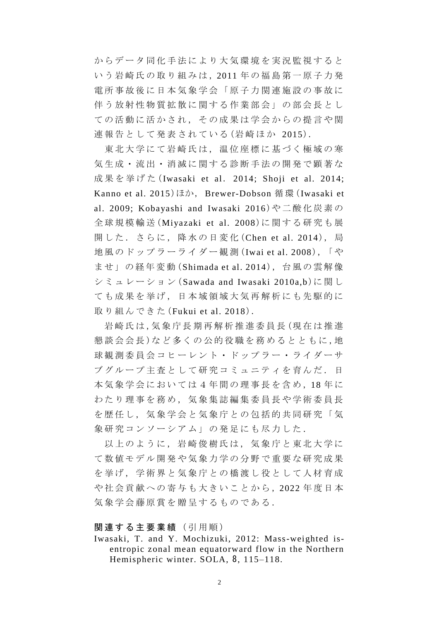からデータ同化手法により大気環境を実況監視すると いう岩崎氏の取り組みは,2011 年の福島第一原子力発 電所事故後に日本気象学会「原子力関連施設の事故に 伴う放射性物質拡散に関する作業部会」の部会長とし ての活動に活かされ,その成果は学会からの提言や関 連報告として発表されている (岩崎ほか 2015).

東北大学にて岩崎氏は,温位座標に基づく極域の寒 気生成・流出・消滅に関する診断手法の開発で顕著な 成 果 を 挙 げ た (Iwasaki et al. 2014; Shoji et al. 2014; Kanno et al. 2015)ほか, Brewer-Dobson 循環 (Iwasaki et al. 2009; Kobayashi and Iwasaki 2016)や二酸化炭素の 全球規模輸送 (Miyazaki et al. 2008)に 関 す る 研 究 も 展 開した.さらに,降水の日変化 (Chen et al. 2014), 局 地 風 の ド ッ プ ラ ー ラ イ ダ ー 観 測 (Iwai et al. 2008),「 や ま せ 」の 経 年 変 動 (Shimada et al. 2014), 台 風 の 雲 解 像 シミュレーション (Sawada and Iwasaki 2010a,b)に関し ても成果を挙げ,日本域領域大気再解析にも先駆的に 取り組んできた (Fukui et al. 2018).

岩崎氏は,気象庁長期再解析推進委員長(現在は推進 懇談会会長)など多くの公的役職を務めるとともに,地 球観測委員会コヒーレント・ドップラー・ライダーサ ブグループ主査として研究コミュニティを育んだ. 日 本気象学会においては4年間の理事長を含め,18年に わたり理事を務め,気象集誌編集委員長や学術委員長 を歴任し、気象学会と気象庁との包括的共同研究「気 象研究コンソーシアム」の発足にも尽力した.

以上のように,岩崎俊樹氏は,気象庁と東北大学に て数値モデル開発や気象力学の分野で重要な研究成果 を挙げ,学術界と気象庁との橋渡し役として人材育成 や社会貢献への寄与も大きいことから, 2022 年度日本 気象学会藤原賞を贈呈するものである.

## 関連する主要業績 (引用順)

Iwasaki, T. and Y. Mochizuki, 2012: Mass-weighted isentropic zonal mean equatorward flow in the Northern Hemispheric winter. SOLA, 8, 115–118.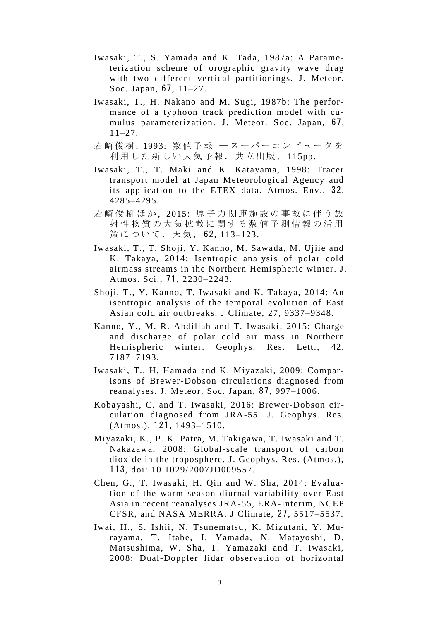- Iwasaki, T., S. Yamada and K. Tada, 1987a: A Parameterization scheme of orographic gravity wave drag with two different vertical partitionings. J. Meteor. Soc. Japan, 67, 11–27.
- Iwasaki, T., H. Nakano and M. Sugi, 1987b: The performance of a typhoon track prediction model with cumulus parameterization. J. Meteor. Soc. Japan, 67, 11–27.
- 岩崎俊樹, 1993: 数値予報 ースーパーコンピュータを 利用した新しい天気予報. 共立出版, 115pp.
- Iwasaki, T., T. Maki and K. Katayama, 1998: Tracer transport model at Japan Meteorological Agency and its application to the ETEX data. Atmos. Env., 32, 4285–4295.
- 岩崎俊樹ほか, 2015: 原子力関連施設の事故に伴う放 射性物質の大気拡散に関する数値予測情報の活用 策について.天気, 62, 113–123.
- Iwasaki, T., T. Shoji, Y. Kanno, M. Sawada, M. Ujiie and K. Takaya, 2014: Isentropic analysis of polar cold airmass streams in the Northern Hemispheric winter. J. Atmos. Sci., 71, 2230–2243.
- Shoji, T., Y. Kanno, T. Iwasaki and K. Takaya, 2014: An isentropic analysis of the temporal evolution of East Asian cold air outbreaks. J Climate, 27, 9337–9348.
- Kanno, Y., M. R. Abdillah and T. Iwasaki, 2015: Charge and discharge of polar cold air mass in Northern Hemispheric winter. Geophys. Res. Lett., 42, 7187–7193.
- Iwasaki, T., H. Hamada and K. Miyazaki, 2009: Comparisons of Brewer-Dobson circulations diagnosed from reanalyses. J. Meteor. Soc. Japan, 87, 997–1006.
- Kobayashi, C. and T. Iwasaki, 2016: Brewer-Dobson circulation diagnosed from JRA-55. J. Geophys. Res. (Atmos.), 121, 1493–1510.
- Miyazaki, K., P. K. Patra, M. Takigawa, T. Iwasaki and T. Nakazawa, 2008: Global-scale transport of carbon dioxide in the troposphere. J. Geophys. Res. (Atmos.), 113, doi: 10.1029/2007JD009557.
- Chen, G., T. Iwasaki, H. Qin and W. Sha, 2014: Evaluation of the warm-season diurnal variability over East Asia in recent reanalyses JRA-55, ERA-Interim, NCEP CFSR, and NASA MERRA. J Climate, 27, 5517–5537.
- Iwai, H., S. Ishii, N. Tsunematsu, K. Mizutani, Y. Murayama, T. Itabe, I. Yamada, N. Matayoshi, D. Matsushima, W. Sha, T. Yamazaki and T. Iwasaki, 2008: Dual-Doppler lidar observation of horizontal